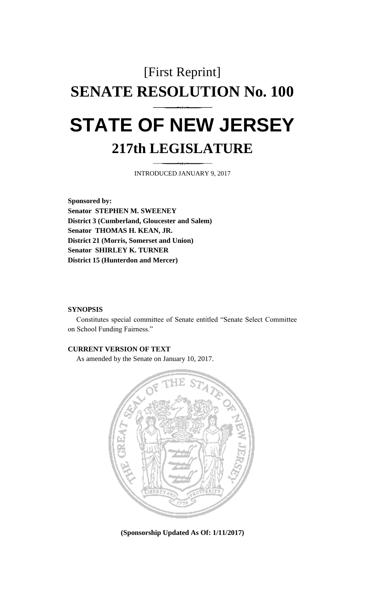## [First Reprint] **SENATE RESOLUTION No. 100 STATE OF NEW JERSEY 217th LEGISLATURE**

INTRODUCED JANUARY 9, 2017

**Sponsored by: Senator STEPHEN M. SWEENEY District 3 (Cumberland, Gloucester and Salem) Senator THOMAS H. KEAN, JR. District 21 (Morris, Somerset and Union) Senator SHIRLEY K. TURNER District 15 (Hunterdon and Mercer)**

## **SYNOPSIS**

Constitutes special committee of Senate entitled "Senate Select Committee on School Funding Fairness."

## **CURRENT VERSION OF TEXT**

As amended by the Senate on January 10, 2017.



**(Sponsorship Updated As Of: 1/11/2017)**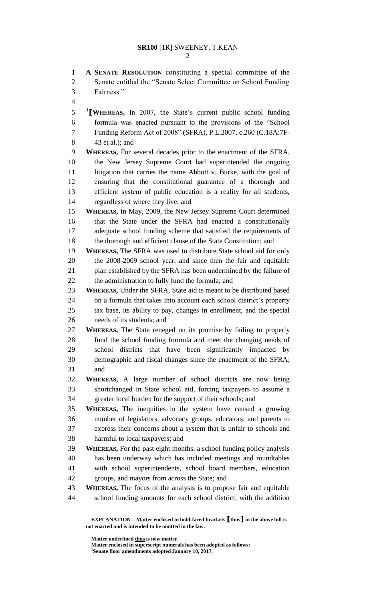## **SR100** [1R] SWEENEY, T.KEAN

 **A SENATE RESOLUTION** constituting a special committee of the Senate entitled the "Senate Select Committee on School Funding Fairness." **[WHEREAS,** In 2007, the State's current public school funding formula was enacted pursuant to the provisions of the "School Funding Reform Act of 2008" (SFRA), P.L.2007, c.260 (C.18A:7F- 43 et al.); and **WHEREAS,** For several decades prior to the enactment of the SFRA, the New Jersey Supreme Court had superintended the ongoing 11 litigation that carries the name Abbott v. Burke, with the goal of ensuring that the constitutional guarantee of a thorough and efficient system of public education is a reality for all students, regardless of where they live; and **WHEREAS,** In May, 2009, the New Jersey Supreme Court determined that the State under the SFRA had enacted a constitutionally adequate school funding scheme that satisfied the requirements of 18 the thorough and efficient clause of the State Constitution; and **WHEREAS,** The SFRA was used to distribute State school aid for only the 2008-2009 school year, and since then the fair and equitable 21 plan established by the SFRA has been undermined by the failure of the administration to fully fund the formula; and **WHEREAS,** Under the SFRA, State aid is meant to be distributed based on a formula that takes into account each school district's property tax base, its ability to pay, changes in enrollment, and the special needs of its students; and **WHEREAS,** The State reneged on its promise by failing to properly fund the school funding formula and meet the changing needs of school districts that have been significantly impacted by demographic and fiscal changes since the enactment of the SFRA; and **WHEREAS,** A large number of school districts are now being shortchanged in State school aid, forcing taxpayers to assume a greater local burden for the support of their schools; and **WHEREAS,** The inequities in the system have caused a growing number of legislators, advocacy groups, educators, and parents to express their concerns about a system that is unfair to schools and harmful to local taxpayers; and **WHEREAS,** For the past eight months, a school funding policy analysis has been underway which has included meetings and roundtables with school superintendents, school board members, education groups, and mayors from across the State; and **WHEREAS,** The focus of the analysis is to propose fair and equitable school funding amounts for each school district, with the addition

**EXPLANATION – Matter enclosed in bold-faced brackets [thus] in the above bill is not enacted and is intended to be omitted in the law.**

**Matter underlined thus is new matter.**

**Matter enclosed in superscript numerals has been adopted as follows: Senate floor amendments adopted January 10, 2017.**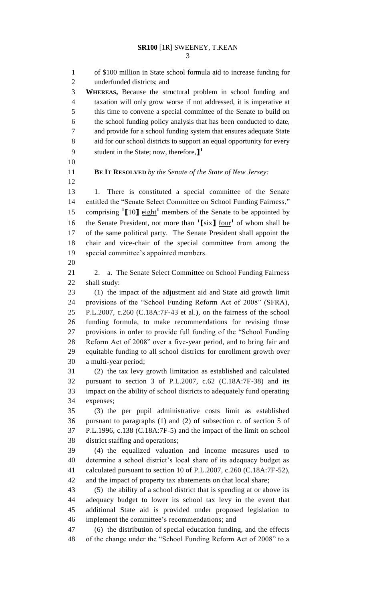of \$100 million in State school formula aid to increase funding for underfunded districts; and **WHEREAS,** Because the structural problem in school funding and taxation will only grow worse if not addressed, it is imperative at this time to convene a special committee of the Senate to build on the school funding policy analysis that has been conducted to date, and provide for a school funding system that ensures adequate State aid for our school districts to support an equal opportunity for every student in the State; now, therefore,**] 1 BE IT RESOLVED** *by the Senate of the State of New Jersey:* 1. There is constituted a special committee of the Senate entitled the "Senate Select Committee on School Funding Fairness," 15 comprising <sup>1</sup>[10] eight<sup>1</sup> members of the Senate to be appointed by 16 the Senate President, not more than  $\text{1}$ [six]  $\text{four}$ <sup>1</sup> of whom shall be of the same political party. The Senate President shall appoint the chair and vice-chair of the special committee from among the special committee's appointed members. 21 2. a. The Senate Select Committee on School Funding Fairness shall study: (1) the impact of the adjustment aid and State aid growth limit provisions of the "School Funding Reform Act of 2008" (SFRA), P.L.2007, c.260 (C.18A:7F-43 et al.), on the fairness of the school funding formula, to make recommendations for revising those provisions in order to provide full funding of the "School Funding Reform Act of 2008" over a five-year period, and to bring fair and equitable funding to all school districts for enrollment growth over a multi-year period; (2) the tax levy growth limitation as established and calculated pursuant to section 3 of P.L.2007, c.62 (C.18A:7F-38) and its impact on the ability of school districts to adequately fund operating expenses; (3) the per pupil administrative costs limit as established pursuant to paragraphs (1) and (2) of subsection c. of section 5 of P.L.1996, c.138 (C.18A:7F-5) and the impact of the limit on school district staffing and operations; (4) the equalized valuation and income measures used to determine a school district's local share of its adequacy budget as calculated pursuant to section 10 of P.L.2007, c.260 (C.18A:7F-52), and the impact of property tax abatements on that local share; (5) the ability of a school district that is spending at or above its adequacy budget to lower its school tax levy in the event that additional State aid is provided under proposed legislation to implement the committee's recommendations; and (6) the distribution of special education funding, and the effects of the change under the "School Funding Reform Act of 2008" to a